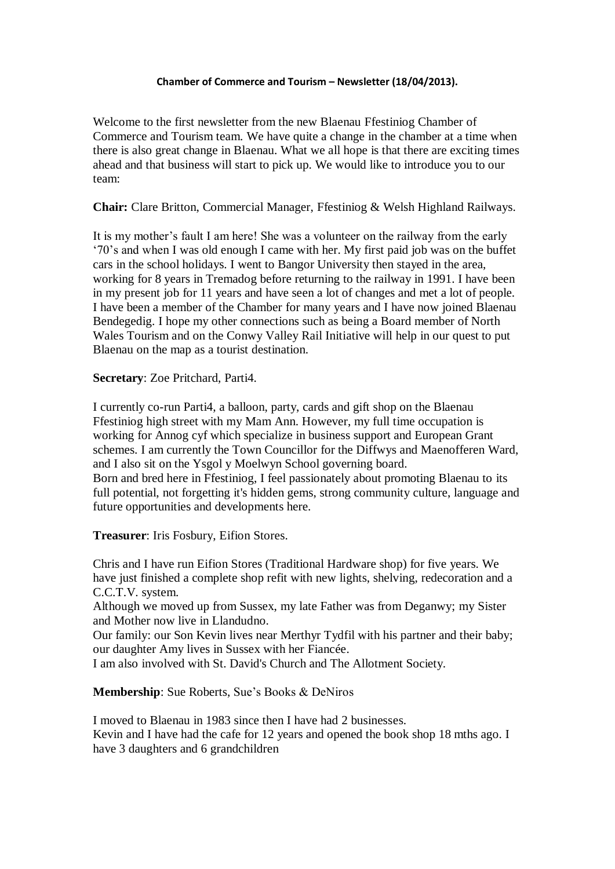## **Chamber of Commerce and Tourism – Newsletter (18/04/2013).**

Welcome to the first newsletter from the new Blaenau Ffestiniog Chamber of Commerce and Tourism team. We have quite a change in the chamber at a time when there is also great change in Blaenau. What we all hope is that there are exciting times ahead and that business will start to pick up. We would like to introduce you to our team:

**Chair:** Clare Britton, Commercial Manager, Ffestiniog & Welsh Highland Railways.

It is my mother's fault I am here! She was a volunteer on the railway from the early '70's and when I was old enough I came with her. My first paid job was on the buffet cars in the school holidays. I went to Bangor University then stayed in the area, working for 8 years in Tremadog before returning to the railway in 1991. I have been in my present job for 11 years and have seen a lot of changes and met a lot of people. I have been a member of the Chamber for many years and I have now joined Blaenau Bendegedig. I hope my other connections such as being a Board member of North Wales Tourism and on the Conwy Valley Rail Initiative will help in our quest to put Blaenau on the map as a tourist destination.

**Secretary**: Zoe Pritchard, Parti4.

I currently co-run Parti4, a balloon, party, cards and gift shop on the Blaenau Ffestiniog high street with my Mam Ann. However, my full time occupation is working for Annog cyf which specialize in business support and European Grant schemes. I am currently the Town Councillor for the Diffwys and Maenofferen Ward, and I also sit on the Ysgol y Moelwyn School governing board. Born and bred here in Ffestiniog, I feel passionately about promoting Blaenau to its full potential, not forgetting it's hidden gems, strong community culture, language and future opportunities and developments here.

**Treasurer**: Iris Fosbury, Eifion Stores.

Chris and I have run Eifion Stores (Traditional Hardware shop) for five years. We have just finished a complete shop refit with new lights, shelving, redecoration and a C.C.T.V. system.

Although we moved up from Sussex, my late Father was from Deganwy; my Sister and Mother now live in Llandudno.

Our family: our Son Kevin lives near Merthyr Tydfil with his partner and their baby; our daughter Amy lives in Sussex with her Fiancée.

I am also involved with St. David's Church and The Allotment Society.

**Membership**: Sue Roberts, Sue's Books & DeNiros

I moved to Blaenau in 1983 since then I have had 2 businesses. Kevin and I have had the cafe for 12 years and opened the book shop 18 mths ago. I have 3 daughters and 6 grandchildren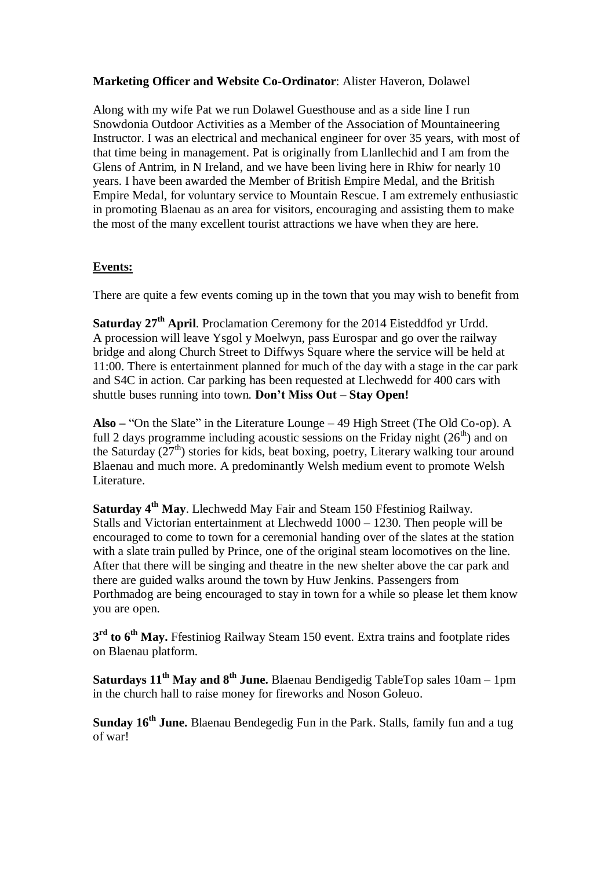## **Marketing Officer and Website Co-Ordinator**: Alister Haveron, Dolawel

Along with my wife Pat we run Dolawel Guesthouse and as a side line I run Snowdonia Outdoor Activities as a Member of the Association of Mountaineering Instructor. I was an electrical and mechanical engineer for over 35 years, with most of that time being in management. Pat is originally from Llanllechid and I am from the Glens of Antrim, in N Ireland, and we have been living here in Rhiw for nearly 10 years. I have been awarded the Member of British Empire Medal, and the British Empire Medal, for voluntary service to Mountain Rescue. I am extremely enthusiastic in promoting Blaenau as an area for visitors, encouraging and assisting them to make the most of the many excellent tourist attractions we have when they are here.

## **Events:**

There are quite a few events coming up in the town that you may wish to benefit from

**Saturday 27th April**. Proclamation Ceremony for the 2014 Eisteddfod yr Urdd. A procession will leave Ysgol y Moelwyn, pass Eurospar and go over the railway bridge and along Church Street to Diffwys Square where the service will be held at 11:00. There is entertainment planned for much of the day with a stage in the car park and S4C in action. Car parking has been requested at Llechwedd for 400 cars with shuttle buses running into town. **Don't Miss Out – Stay Open!**

**Also –** "On the Slate" in the Literature Lounge – 49 High Street (The Old Co-op). A full 2 days programme including acoustic sessions on the Friday night  $(26<sup>th</sup>)$  and on the Saturday  $(27<sup>th</sup>)$  stories for kids, beat boxing, poetry, Literary walking tour around Blaenau and much more. A predominantly Welsh medium event to promote Welsh Literature.

**Saturday 4th May**. Llechwedd May Fair and Steam 150 Ffestiniog Railway. Stalls and Victorian entertainment at Llechwedd 1000 – 1230. Then people will be encouraged to come to town for a ceremonial handing over of the slates at the station with a slate train pulled by Prince, one of the original steam locomotives on the line. After that there will be singing and theatre in the new shelter above the car park and there are guided walks around the town by Huw Jenkins. Passengers from Porthmadog are being encouraged to stay in town for a while so please let them know you are open.

**3 rd to 6th May.** Ffestiniog Railway Steam 150 event. Extra trains and footplate rides on Blaenau platform.

**Saturdays 11th May and 8th June.** Blaenau Bendigedig TableTop sales 10am – 1pm in the church hall to raise money for fireworks and Noson Goleuo.

**Sunday 16th June.** Blaenau Bendegedig Fun in the Park. Stalls, family fun and a tug of war!